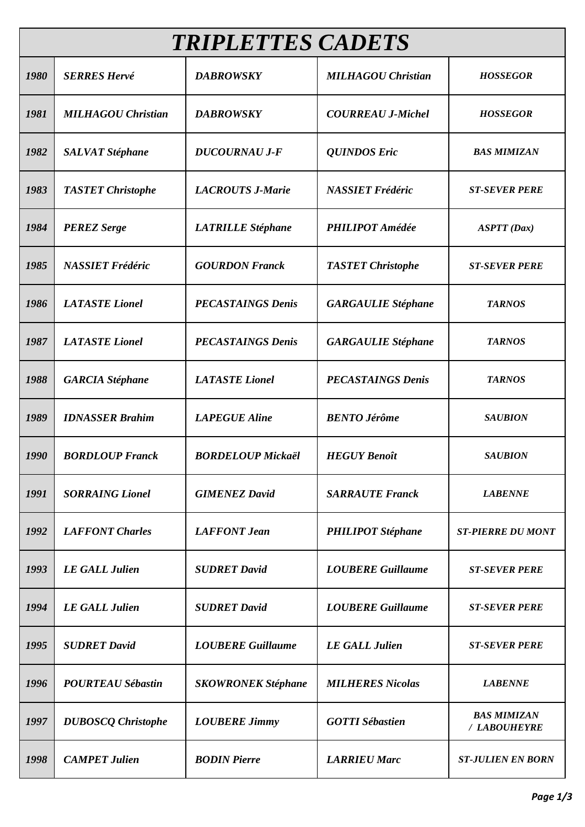| <b>TRIPLETTES CADETS</b> |                           |                           |                           |                                    |  |  |  |
|--------------------------|---------------------------|---------------------------|---------------------------|------------------------------------|--|--|--|
| 1980                     | <b>SERRES Hervé</b>       | <b>DABROWSKY</b>          | <b>MILHAGOU Christian</b> | <b>HOSSEGOR</b>                    |  |  |  |
| 1981                     | <b>MILHAGOU Christian</b> | <b>DABROWSKY</b>          | <b>COURREAU J-Michel</b>  | <b>HOSSEGOR</b>                    |  |  |  |
| 1982                     | <b>SALVAT Stéphane</b>    | <b>DUCOURNAU J-F</b>      | <b>QUINDOS Eric</b>       | <b>BAS MIMIZAN</b>                 |  |  |  |
| 1983                     | <b>TASTET Christophe</b>  | <b>LACROUTS J-Marie</b>   | <b>NASSIET Frédéric</b>   | <b>ST-SEVER PERE</b>               |  |  |  |
| 1984                     | <b>PEREZ Serge</b>        | <b>LATRILLE Stéphane</b>  | <b>PHILIPOT</b> Amédée    | <b>ASPTT</b> (Dax)                 |  |  |  |
| 1985                     | <b>NASSIET Frédéric</b>   | <b>GOURDON Franck</b>     | <b>TASTET Christophe</b>  | <b>ST-SEVER PERE</b>               |  |  |  |
| 1986                     | <b>LATASTE</b> Lionel     | <b>PECASTAINGS Denis</b>  | <b>GARGAULIE Stéphane</b> | <b>TARNOS</b>                      |  |  |  |
| 1987                     | <b>LATASTE</b> Lionel     | <b>PECASTAINGS Denis</b>  | <b>GARGAULIE Stéphane</b> | <b>TARNOS</b>                      |  |  |  |
| 1988                     | <b>GARCIA</b> Stéphane    | <b>LATASTE</b> Lionel     | <b>PECASTAINGS Denis</b>  | <b>TARNOS</b>                      |  |  |  |
| 1989                     | <b>IDNASSER Brahim</b>    | <b>LAPEGUE</b> Aline      | <b>BENTO Jérôme</b>       | <b>SAUBION</b>                     |  |  |  |
| 1990                     | <b>BORDLOUP Franck</b>    | <b>BORDELOUP Mickaël</b>  | <b>HEGUY Benoît</b>       | <b>SAUBION</b>                     |  |  |  |
| 1991                     | <b>SORRAING Lionel</b>    | <b>GIMENEZ David</b>      | <b>SARRAUTE Franck</b>    | <b>LABENNE</b>                     |  |  |  |
| 1992                     | <b>LAFFONT Charles</b>    | <b>LAFFONT</b> Jean       | <b>PHILIPOT</b> Stéphane  | <b>ST-PIERRE DU MONT</b>           |  |  |  |
| 1993                     | <b>LE GALL Julien</b>     | <b>SUDRET David</b>       | <b>LOUBERE Guillaume</b>  | <b>ST-SEVER PERE</b>               |  |  |  |
| 1994                     | <b>LE GALL Julien</b>     | <b>SUDRET David</b>       | <b>LOUBERE Guillaume</b>  | <b>ST-SEVER PERE</b>               |  |  |  |
| 1995                     | <b>SUDRET David</b>       | <b>LOUBERE Guillaume</b>  | <b>LE GALL Julien</b>     | <b>ST-SEVER PERE</b>               |  |  |  |
| 1996                     | <b>POURTEAU Sébastin</b>  | <b>SKOWRONEK Stéphane</b> | <b>MILHERES Nicolas</b>   | <b>LABENNE</b>                     |  |  |  |
| 1997                     | <b>DUBOSCQ</b> Christophe | <b>LOUBERE Jimmy</b>      | <b>GOTTI Sébastien</b>    | <b>BAS MIMIZAN</b><br>/ LABOUHEYRE |  |  |  |
| 1998                     | <b>CAMPET Julien</b>      | <b>BODIN</b> Pierre       | <b>LARRIEU Marc</b>       | <b>ST-JULIEN EN BORN</b>           |  |  |  |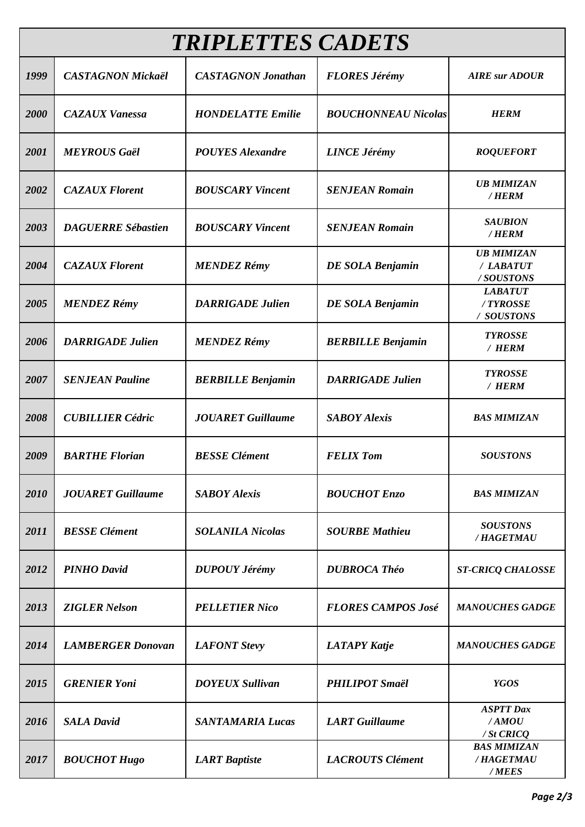| <b>TRIPLETTES CADETS</b> |                           |                           |                            |                                             |  |  |
|--------------------------|---------------------------|---------------------------|----------------------------|---------------------------------------------|--|--|
| 1999                     | <b>CASTAGNON Mickaël</b>  | <b>CASTAGNON Jonathan</b> | <b>FLORES Jérémy</b>       | <b>AIRE</b> sur ADOUR                       |  |  |
| 2000                     | <b>CAZAUX Vanessa</b>     | <b>HONDELATTE Emilie</b>  | <b>BOUCHONNEAU Nicolas</b> | <b>HERM</b>                                 |  |  |
| 2001                     | <b>MEYROUS Gaël</b>       | <b>POUYES Alexandre</b>   | <b>LINCE Jérémy</b>        | <b>ROQUEFORT</b>                            |  |  |
| 2002                     | <b>CAZAUX Florent</b>     | <b>BOUSCARY Vincent</b>   | <b>SENJEAN Romain</b>      | <b>UB MIMIZAN</b><br>/HERM                  |  |  |
| 2003                     | <b>DAGUERRE Sébastien</b> | <b>BOUSCARY Vincent</b>   | <b>SENJEAN Romain</b>      | <b>SAUBION</b><br>/ HERM                    |  |  |
| 2004                     | <b>CAZAUX Florent</b>     | <b>MENDEZ Rémy</b>        | <b>DE SOLA Benjamin</b>    | <b>UB MIMIZAN</b><br>/ LABATUT<br>/SOUSTONS |  |  |
| 2005                     | <b>MENDEZ Rémy</b>        | <b>DARRIGADE Julien</b>   | <b>DE SOLA Benjamin</b>    | <b>LABATUT</b><br>/TYROSSE<br>/ SOUSTONS    |  |  |
| 2006                     | <b>DARRIGADE Julien</b>   | <b>MENDEZ Rémy</b>        | <b>BERBILLE Benjamin</b>   | <b>TYROSSE</b><br>/ HERM                    |  |  |
| 2007                     | <b>SENJEAN Pauline</b>    | <b>BERBILLE Benjamin</b>  | <b>DARRIGADE Julien</b>    | <b>TYROSSE</b><br>/ HERM                    |  |  |
| 2008                     | <b>CUBILLIER Cédric</b>   | <b>JOUARET Guillaume</b>  | <b>SABOY Alexis</b>        | <b>BAS MIMIZAN</b>                          |  |  |
| 2009                     | <b>BARTHE Florian</b>     | <b>BESSE Clément</b>      | <b>FELIX Tom</b>           | <b>SOUSTONS</b>                             |  |  |
| 2010                     | <b>JOUARET</b> Guillaume  | <b>SABOY Alexis</b>       | <b>BOUCHOT Enzo</b>        | <b>BAS MIMIZAN</b>                          |  |  |
| 2011                     | <b>BESSE Clément</b>      | <b>SOLANILA Nicolas</b>   | <b>SOURBE Mathieu</b>      | <b>SOUSTONS</b><br>/HAGETMAU                |  |  |
| 2012                     | <b>PINHO David</b>        | <b>DUPOUY Jérémy</b>      | <b>DUBROCA Théo</b>        | <b>ST-CRICQ CHALOSSE</b>                    |  |  |
| 2013                     | <b>ZIGLER Nelson</b>      | <b>PELLETIER Nico</b>     | <b>FLORES CAMPOS José</b>  | <b>MANOUCHES GADGE</b>                      |  |  |
| 2014                     | <b>LAMBERGER Donovan</b>  | <b>LAFONT Stevy</b>       | <b>LATAPY Katje</b>        | <b>MANOUCHES GADGE</b>                      |  |  |
| 2015                     | <b>GRENIER Yoni</b>       | <b>DOYEUX Sullivan</b>    | <b>PHILIPOT</b> Smaël      | <b>YGOS</b>                                 |  |  |
| 2016                     | <b>SALA David</b>         | <b>SANTAMARIA Lucas</b>   | <b>LART</b> Guillaume      | <b>ASPTT</b> Dax<br>/AMOU<br>$/$ St CRICQ   |  |  |
| 2017                     | <b>BOUCHOT Hugo</b>       | <b>LART</b> Baptiste      | <b>LACROUTS</b> Clément    | <b>BAS MIMIZAN</b><br>/HAGETMAU<br>/MEES    |  |  |